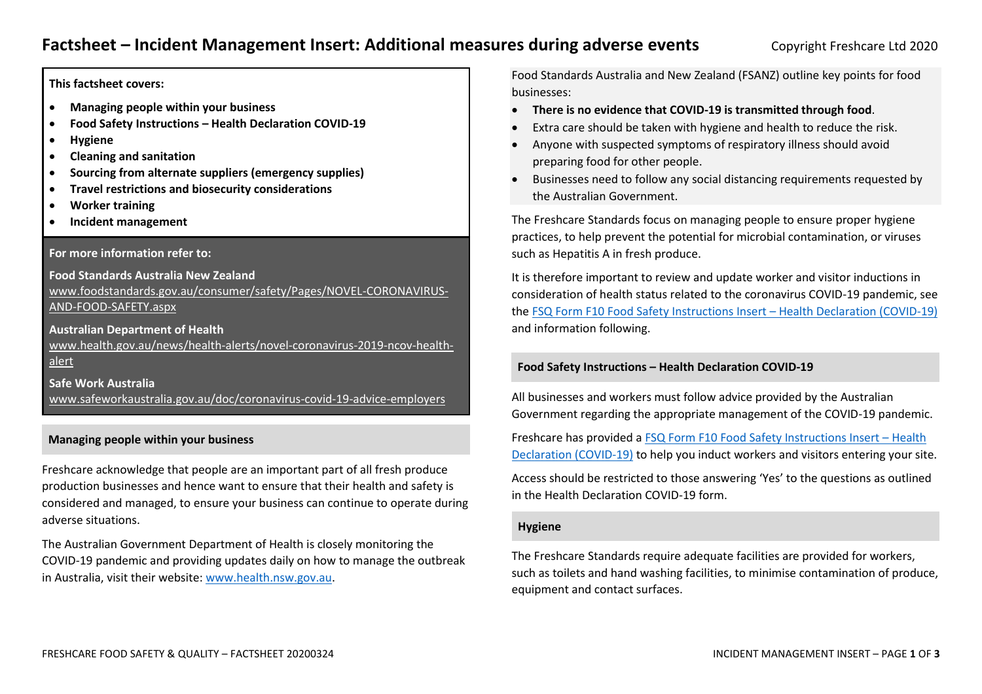**This factsheet covers:**

- **Managing people within your business**
- **Food Safety Instructions – Health Declaration COVID-19**
- **Hygiene**
- **Cleaning and sanitation**
- **Sourcing from alternate suppliers (emergency supplies)**
- **Travel restrictions and biosecurity considerations**
- **Worker training**
- **Incident management**

## **For more information refer to:**

**Food Standards Australia New Zealand** [www.foodstandards.gov.au/consumer/safety/Pages/NOVEL-CORONAVIRUS-](www.foodstandards.gov.au/consumer/safety/Pages/NOVEL-CORONAVIRUS-AND-FOOD-SAFETY.aspx)[AND-FOOD-SAFETY.aspx](www.foodstandards.gov.au/consumer/safety/Pages/NOVEL-CORONAVIRUS-AND-FOOD-SAFETY.aspx)

**Australian Department of Health**  [www.health.gov.au/news/health-alerts/novel-coronavirus-2019-ncov-health](www.health.gov.au/news/health-alerts/novel-coronavirus-2019-ncov-health-alert)[alert](www.health.gov.au/news/health-alerts/novel-coronavirus-2019-ncov-health-alert)

**Safe Work Australia**  <www.safeworkaustralia.gov.au/doc/coronavirus-covid-19-advice-employers>

## **Managing people within your business**

Freshcare acknowledge that people are an important part of all fresh produce production businesses and hence want to ensure that their health and safety is considered and managed, to ensure your business can continue to operate during adverse situations.

The Australian Government Department of Health is closely monitoring the COVID-19 pandemic and providing updates daily on how to manage the outbreak in Australia, visit their website: [www.health.nsw.gov.au.](http://www.health.nsw.gov.au/)

Food Standards Australia and New Zealand (FSANZ) outline key points for food businesses:

- **There is no evidence that COVID-19 is transmitted through food**.
- Extra care should be taken with hygiene and health to reduce the risk.
- Anyone with suspected symptoms of respiratory illness should avoid preparing food for other people.
- Businesses need to follow any social distancing requirements requested by the Australian Government.

The Freshcare Standards focus on managing people to ensure proper hygiene practices, to help prevent the potential for microbial contamination, or viruses such as Hepatitis A in fresh produce.

It is therefore important to review and update worker and visitor inductions in consideration of health status related to the coronavirus COVID-19 pandemic, see the [FSQ Form F10 Food Safety Instructions Insert](file:///C:/Users/angela.ASTEAIN-2/Dropbox%20(Freshcare)/FC%20Office/03.%20Programs/Coronavirus%20documents%202020/Resources/FSQ%20Form%20F10%20Food%20Safety%20Instructions%20-%20Insert%20Health%20Declaration%20(COVID19)%20editable.pdf) – Health Declaration (COVID-19) and information following.

## **Food Safety Instructions – Health Declaration COVID-19**

All businesses and workers must follow advice provided by the Australian Government regarding the appropriate management of the COVID-19 pandemic.

Freshcare has provided a [FSQ Form F10 Food Safety Instructions Insert](file:///C:/Users/angela.ASTEAIN-2/Dropbox%20(Freshcare)/FC%20Office/03.%20Programs/Coronavirus%20documents%202020/Resources/FSQ%20Form%20F10%20Food%20Safety%20Instructions%20-%20Insert%20Health%20Declaration%20(COVID19)%20editable.pdf) – Health [Declaration \(COVID-19\)](file:///C:/Users/angela.ASTEAIN-2/Dropbox%20(Freshcare)/FC%20Office/03.%20Programs/Coronavirus%20documents%202020/Resources/FSQ%20Form%20F10%20Food%20Safety%20Instructions%20-%20Insert%20Health%20Declaration%20(COVID19)%20editable.pdf) to help you induct workers and visitors entering your site.

Access should be restricted to those answering 'Yes' to the questions as outlined in the Health Declaration COVID-19 form.

### **Hygiene**

The Freshcare Standards require adequate facilities are provided for workers, such as toilets and hand washing facilities, to minimise contamination of produce, equipment and contact surfaces.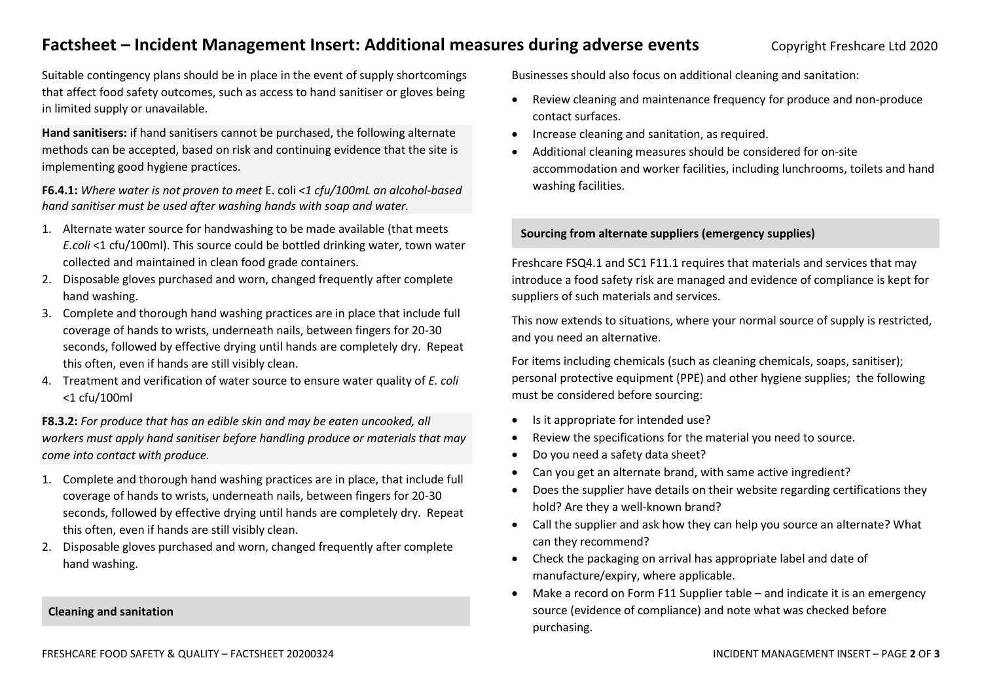# **Factsheet – Incident Management Insert: Additional measures during adverse events Copyright Freshcare Ltd 2020**

Suitable contingency plans should be in place in the event of supply shortcomings that affect food safety outcomes, such as access to hand sanitiser or gloves being in limited supply or unavailable.

**Hand sanitisers:** if hand sanitisers cannot be purchased, the following alternate methods can be accepted, based on risk and continuing evidence that the site is implementing good hygiene practices.

**F6.4.1:** *Where water is not proven to meet* E. coli *<1 cfu/100mL an alcohol-based hand sanitiser must be used after washing hands with soap and water.* 

- 1. Alternate water source for handwashing to be made available (that meets *E.coli* <1 cfu/100ml). This source could be bottled drinking water, town water collected and maintained in clean food grade containers.
- 2. Disposable gloves purchased and worn, changed frequently after complete hand washing.
- 3. Complete and thorough hand washing practices are in place that include full coverage of hands to wrists, underneath nails, between fingers for 20-30 seconds, followed by effective drying until hands are completely dry. Repeat this often, even if hands are still visibly clean.
- 4. Treatment and verification of water source to ensure water quality of *E. coli* <1 cfu/100ml

**F8.3.2:** *For produce that has an edible skin and may be eaten uncooked, all workers must apply hand sanitiser before handling produce or materials that may come into contact with produce.* 

- 1. Complete and thorough hand washing practices are in place, that include full coverage of hands to wrists, underneath nails, between fingers for 20-30 seconds, followed by effective drying until hands are completely dry. Repeat this often, even if hands are still visibly clean.
- 2. Disposable gloves purchased and worn, changed frequently after complete hand washing.

Businesses should also focus on additional cleaning and sanitation:

- Review cleaning and maintenance frequency for produce and non-produce contact surfaces.
- Increase cleaning and sanitation, as required.
- Additional cleaning measures should be considered for on-site accommodation and worker facilities, including lunchrooms, toilets and hand washing facilities.

## **Sourcing from alternate suppliers (emergency supplies)**

Freshcare FSQ4.1 and SC1 F11.1 requires that materials and services that may introduce a food safety risk are managed and evidence of compliance is kept for suppliers of such materials and services.

This now extends to situations, where your normal source of supply is restricted, and you need an alternative.

For items including chemicals (such as cleaning chemicals, soaps, sanitiser); personal protective equipment (PPE) and other hygiene supplies; the following must be considered before sourcing:

- Is it appropriate for intended use?
- Review the specifications for the material you need to source.
- Do you need a safety data sheet?
- Can you get an alternate brand, with same active ingredient?
- Does the supplier have details on their website regarding certifications they hold? Are they a well-known brand?
- Call the supplier and ask how they can help you source an alternate? What can they recommend?
- Check the packaging on arrival has appropriate label and date of manufacture/expiry, where applicable.
- Make a record on Form F11 Supplier table and indicate it is an emergency source (evidence of compliance) and note what was checked before purchasing.